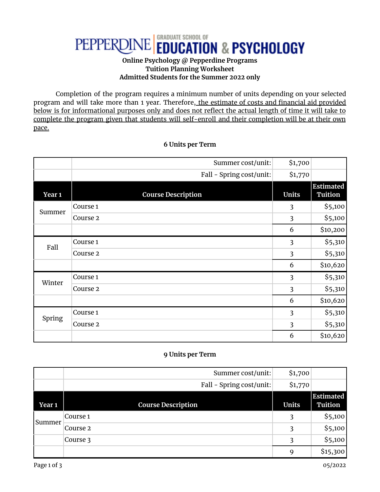# PEPPERDINE **EDUCATION & PSYCHOLOGY**

#### **Online Psychology @ Pepperdine Programs Tuition Planning Worksheet Admitted Students for the Summer 2022 only**

Completion of the program requires a minimum number of units depending on your selected program and will take more than 1 year. Therefore, the estimate of costs and financial aid provided below is for informational purposes only and does not reflect the actual length of time it will take to complete the program given that students will self-enroll and their completion will be at their own pace.

|                                                      | Summer cost/unit:         | \$1,700                                                                                                                                                                                     |                                    |  |  |  |  |
|------------------------------------------------------|---------------------------|---------------------------------------------------------------------------------------------------------------------------------------------------------------------------------------------|------------------------------------|--|--|--|--|
|                                                      | Fall - Spring cost/unit:  | \$1,770                                                                                                                                                                                     |                                    |  |  |  |  |
| Year <sub>1</sub>                                    | <b>Course Description</b> | <b>Units</b>                                                                                                                                                                                | <b>Estimated</b><br><b>Tuition</b> |  |  |  |  |
| Summer                                               | Course <sub>1</sub>       | 3                                                                                                                                                                                           | \$5,100                            |  |  |  |  |
|                                                      | Course <sub>2</sub>       | $\overline{\mathbf{3}}$<br>6<br>$\overline{\mathbf{3}}$<br>$\overline{\mathbf{3}}$<br>6<br>$\overline{3}$<br>$\overline{\mathbf{3}}$<br>6<br>$\overline{3}$<br>$\overline{\mathbf{3}}$<br>6 | \$5,100                            |  |  |  |  |
|                                                      |                           |                                                                                                                                                                                             | \$10,200                           |  |  |  |  |
| Fall                                                 | Course <sub>1</sub>       |                                                                                                                                                                                             | \$5,310                            |  |  |  |  |
|                                                      | Course <sub>2</sub>       |                                                                                                                                                                                             | \$5,310                            |  |  |  |  |
|                                                      |                           |                                                                                                                                                                                             | \$10,620                           |  |  |  |  |
| Winter                                               | Course <sub>1</sub>       |                                                                                                                                                                                             | \$5,310                            |  |  |  |  |
|                                                      | Course <sub>2</sub>       |                                                                                                                                                                                             | \$5,310                            |  |  |  |  |
|                                                      |                           |                                                                                                                                                                                             | \$10,620                           |  |  |  |  |
| Course <sub>1</sub><br>Spring<br>Course <sub>2</sub> |                           |                                                                                                                                                                                             | \$5,310                            |  |  |  |  |
|                                                      |                           |                                                                                                                                                                                             | \$5,310                            |  |  |  |  |
|                                                      |                           |                                                                                                                                                                                             | \$10,620                           |  |  |  |  |

## **6 Units per Term**

#### **9 Units per Term**

|        | Summer cost/unit:         | \$1,700      |                             |
|--------|---------------------------|--------------|-----------------------------|
|        | Fall - Spring cost/unit:  | \$1,770      |                             |
| Year 1 | <b>Course Description</b> | <b>Units</b> | Estimated<br><b>Tuition</b> |
| Summer | Course <sub>1</sub>       | 3            | \$5,100                     |
|        | Course 2                  | 3            | \$5,100                     |
|        | Course 3                  | 3            | \$5,100                     |
|        |                           | Q            | \$15,300                    |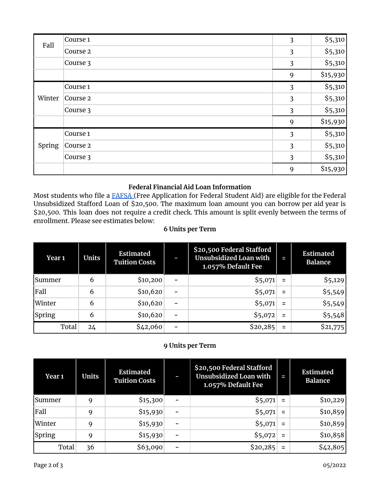| Fall   | Course <sub>1</sub> | $\overline{\mathbf{3}}$ | \$5,310  |
|--------|---------------------|-------------------------|----------|
|        | Course <sub>2</sub> | 3                       | \$5,310  |
|        | Course 3            | 3                       | \$5,310  |
|        |                     | 9                       | \$15,930 |
|        | Course <sub>1</sub> | 3                       | \$5,310  |
| Winter | Course <sub>2</sub> | 3                       | \$5,310  |
|        | Course 3            | 3                       | \$5,310  |
|        |                     | 9                       | \$15,930 |
| Spring | Course <sub>1</sub> | 3                       | \$5,310  |
|        | Course <sub>2</sub> | $\overline{3}$          | \$5,310  |
|        | Course 3            | 3                       | \$5,310  |
|        |                     | 9                       | \$15,930 |

#### **Federal Financial Aid Loan Information**

Most students who file a [FAFSA](https://studentaid.ed.gov/sa/fafsa) (Free Application for Federal Student Aid) are eligible for the Federal Unsubsidized Stafford Loan of \$20,500. The maximum loan amount you can borrow per aid year is \$20,500. This loan does not require a credit check. This amount is split evenly between the terms of enrollment. Please see estimates below:

# **6 Units per Term**

| Year <sub>1</sub> | <b>Units</b> | <b>Estimated</b><br><b>Tuition Costs</b> | I | \$20,500 Federal Stafford<br><b>Unsubsidized Loan with</b><br>1.057% Default Fee | I | <b>Estimated</b><br><b>Balance</b> |
|-------------------|--------------|------------------------------------------|---|----------------------------------------------------------------------------------|---|------------------------------------|
| <b>Summer</b>     | 6            | \$10,200                                 | - | \$5,071                                                                          | Ξ | \$5,129                            |
| <b>Fall</b>       | 6            | \$10,620                                 | - | \$5,071                                                                          | Ξ | \$5,549                            |
| Winter            | 6            | \$10,620                                 | - | \$5,071                                                                          | Ξ | \$5,549                            |
| Spring            | 6            | \$10,620                                 | - | \$5,072                                                                          | Ξ | \$5,548                            |
| Total             | 24           | \$42,060                                 | - | \$20,285                                                                         | Ξ | \$21,775                           |

### **9 Units per Term**

| Year 1 | Units | <b>Estimated</b><br><b>Tuition Costs</b> | I                        | \$20,500 Federal Stafford<br><b>Unsubsidized Loan with</b><br>1.057% Default Fee | I   | <b>Estimated</b><br><b>Balance</b> |
|--------|-------|------------------------------------------|--------------------------|----------------------------------------------------------------------------------|-----|------------------------------------|
| Summer | 9     | \$15,300                                 | -                        | \$5,071                                                                          |     | \$10,229                           |
| Fall   | Q     | \$15,930                                 | -                        | \$5,071                                                                          | $=$ | \$10,859                           |
| Winter | Q     | \$15,930                                 | $\overline{\phantom{0}}$ | \$5,071                                                                          | $=$ | \$10,859                           |
| Spring | 9     | \$15,930                                 | $\overline{\phantom{0}}$ | \$5,072                                                                          | Ξ   | \$10,858                           |
| Total  | 36    | \$63,090                                 | -                        | \$20,285                                                                         | $=$ | \$42,805                           |